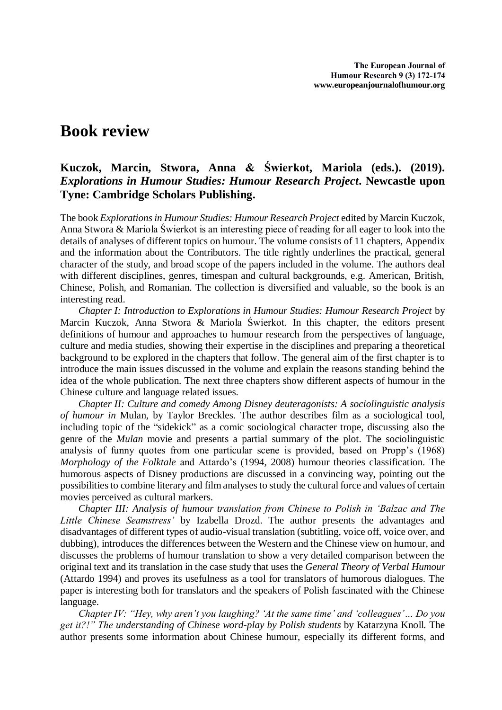## **Book review**

## **Kuczok, Marcin, Stwora, Anna & Świerkot, Mariola (eds.). (2019).**  *Explorations in Humour Studies: Humour Research Project***. Newcastle upon Tyne: Cambridge Scholars Publishing.**

The book *Explorations in Humour Studies: Humour Research Project* edited by Marcin Kuczok, Anna Stwora & Mariola Świerkot is an interesting piece of reading for all eager to look into the details of analyses of different topics on humour. The volume consists of 11 chapters, Appendix and the information about the Contributors. The title rightly underlines the practical, general character of the study, and broad scope of the papers included in the volume. The authors deal with different disciplines, genres, timespan and cultural backgrounds, e.g. American, British, Chinese, Polish, and Romanian. The collection is diversified and valuable, so the book is an interesting read.

*Chapter I: Introduction to Explorations in Humour Studies: Humour Research Project* by Marcin Kuczok, Anna Stwora & Mariola Świerkot*.* In this chapter, the editors present definitions of humour and approaches to humour research from the perspectives of language, culture and media studies, showing their expertise in the disciplines and preparing a theoretical background to be explored in the chapters that follow. The general aim of the first chapter is to introduce the main issues discussed in the volume and explain the reasons standing behind the idea of the whole publication. The next three chapters show different aspects of humour in the Chinese culture and language related issues.

*Chapter II: Culture and comedy Among Disney deuteragonists: A sociolinguistic analysis of humour in* Mulan, by Taylor Breckles*.* The author describes film as a sociological tool, including topic of the "sidekick" as a comic sociological character trope, discussing also the genre of the *Mulan* movie and presents a partial summary of the plot. The sociolinguistic analysis of funny quotes from one particular scene is provided, based on Propp's (1968) *Morphology of the Folktale* and Attardo's (1994, 2008) humour theories classification. The humorous aspects of Disney productions are discussed in a convincing way, pointing out the possibilities to combine literary and film analyses to study the cultural force and values of certain movies perceived as cultural markers.

*Chapter III: Analysis of humour translation from Chinese to Polish in 'Balzac and The Little Chinese Seamstress'* by Izabella Drozd. The author presents the advantages and disadvantages of different types of audio-visual translation (subtitling, voice off, voice over, and dubbing), introduces the differences between the Western and the Chinese view on humour, and discusses the problems of humour translation to show a very detailed comparison between the original text and its translation in the case study that uses the *General Theory of Verbal Humour* (Attardo 1994) and proves its usefulness as a tool for translators of humorous dialogues. The paper is interesting both for translators and the speakers of Polish fascinated with the Chinese language.

*Chapter IV: "Hey, why aren't you laughing? 'At the same time' and 'colleagues'… Do you get it?!" The understanding of Chinese word-play by Polish students* by Katarzyna Knoll*.* The author presents some information about Chinese humour, especially its different forms, and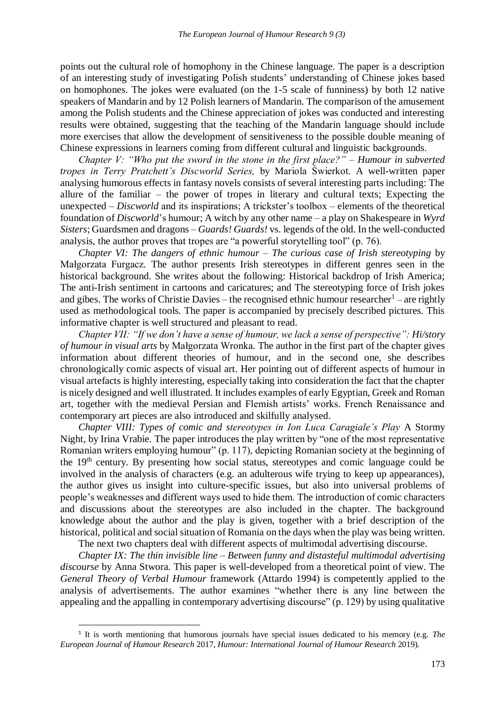points out the cultural role of homophony in the Chinese language. The paper is a description of an interesting study of investigating Polish students' understanding of Chinese jokes based on homophones. The jokes were evaluated (on the 1-5 scale of funniness) by both 12 native speakers of Mandarin and by 12 Polish learners of Mandarin. The comparison of the amusement among the Polish students and the Chinese appreciation of jokes was conducted and interesting results were obtained, suggesting that the teaching of the Mandarin language should include more exercises that allow the development of sensitiveness to the possible double meaning of Chinese expressions in learners coming from different cultural and linguistic backgrounds.

*Chapter V: "Who put the sword in the stone in the first place?" – Humour in subverted tropes in Terry Pratchett's Discworld Series,* by Mariola Świerkot. A well-written paper analysing humorous effects in fantasy novels consists of several interesting parts including: The allure of the familiar – the power of tropes in literary and cultural texts; Expecting the unexpected – *Discworld* and its inspirations; A trickster's toolbox – elements of the theoretical foundation of *Discworld*'s humour; A witch by any other name – a play on Shakespeare in *Wyrd Sisters*; Guardsmen and dragons – *Guards! Guards!* vs. legends of the old. In the well-conducted analysis, the author proves that tropes are "a powerful storytelling tool" (p. 76).

*Chapter VI: The dangers of ethnic humour – The curious case of Irish stereotyping* by Małgorzata Furgacz*.* The author presents Irish stereotypes in different genres seen in the historical background. She writes about the following: Historical backdrop of Irish America; The anti-Irish sentiment in cartoons and caricatures; and The stereotyping force of Irish jokes and gibes. The works of Christie Davies – the recognised ethnic humour researcher $1$  – are rightly used as methodological tools. The paper is accompanied by precisely described pictures. This informative chapter is well structured and pleasant to read.

*Chapter VII: "If we don't have a sense of humour, we lack a sense of perspective": Hi/story of humour in visual arts* by Małgorzata Wronka*.* The author in the first part of the chapter gives information about different theories of humour, and in the second one, she describes chronologically comic aspects of visual art. Her pointing out of different aspects of humour in visual artefacts is highly interesting, especially taking into consideration the fact that the chapter is nicely designed and well illustrated. It includes examples of early Egyptian, Greek and Roman art, together with the medieval Persian and Flemish artists' works. French Renaissance and contemporary art pieces are also introduced and skilfully analysed.

*Chapter VIII: Types of comic and stereotypes in Ion Luca Caragiale's Play* A Stormy Night, by Irina Vrabie*.* The paper introduces the play written by "one of the most representative Romanian writers employing humour" (p. 117), depicting Romanian society at the beginning of the 19th century. By presenting how social status, stereotypes and comic language could be involved in the analysis of characters (e.g. an adulterous wife trying to keep up appearances), the author gives us insight into culture-specific issues, but also into universal problems of people's weaknesses and different ways used to hide them. The introduction of comic characters and discussions about the stereotypes are also included in the chapter. The background knowledge about the author and the play is given, together with a brief description of the historical, political and social situation of Romania on the days when the play was being written.

The next two chapters deal with different aspects of multimodal advertising discourse.

*Chapter IX: The thin invisible line – Between funny and distasteful multimodal advertising discourse* by Anna Stwora*.* This paper is well-developed from a theoretical point of view. The *General Theory of Verbal Humour* framework (Attardo 1994) is competently applied to the analysis of advertisements. The author examines "whether there is any line between the appealing and the appalling in contemporary advertising discourse" (p. 129) by using qualitative

 $\overline{\phantom{a}}$ 

<sup>1</sup> It is worth mentioning that humorous journals have special issues dedicated to his memory (e.g. *The European Journal of Humour Research* 2017, *Humour: International Journal of Humour Research* 2019).